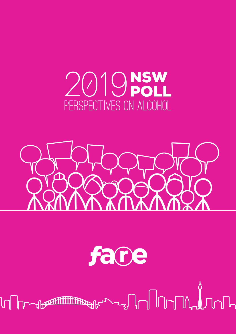# 2019NSW PERSPECTIVES ON ALCOHOL



# fane

## ╫╌╲╌┙╽┸╿╻┖┸┸<del>╷</del>  $\mathbb{I}$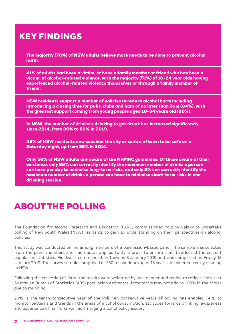## KEY FINDINGS

The majority (76%) of NSW adults believe more needs to be done to prevent alcohol harm.

41% of adults had been a victim, or have a family member or friend who has been a victim, of alcohol-related violence, with the majority (51%) of 18-24 year olds having experienced alcohol-related violence themselves or through a family member or friend.

NSW residents support a number of policies to reduce alcohol harm including introducing a closing time for pubs, clubs and bars of no later than 3am (84%), with the greatest support coming from young people aged 18-34 years old (90%).

In NSW, the number of drinkers drinking to get drunk has increased significantly since 2014, from 36% to 50% in 2019.

42% of NSW residents now consider the city or centre of town to be safe on a Saturday night, up from 25% in 2014.

Only 56% of NSW adults are aware of the NHMRC guidelines. Of those aware of their existence, only 28% can correctly identify the maximum number of drinks a person can have per day to minimise long-term risks, and only 8% can correctly identify the maximum number of drinks a person can have to minimise short-term risks in one drinking session.

## ABOUT THE POLLING

The Foundation for Alcohol Research and Education (FARE) commissioned YouGov Galaxy to undertake polling of New South Wales (NSW) residents to gain an understanding on their perspectives on alcohol policies.

This study was conducted online among members of a permission-based panel. The sample was selected from the panel members and had quotas applied to it, in order to ensure that it reflected the current population statistics. Fieldwork commenced on Tuesday 8 January 2019 and was completed on Friday 18 January 2019. The survey sample comprised of 350 respondents aged 18 years and older currently residing in NSW.

Following the collection of data, the results were weighted by age, gender and region to reflect the latest Australian Bureau of Statistics (ABS) population estimates. Note totals may not add to 100% in the tables due to rounding.

2019 is the tenth consecutive year of the Poll. Ten consecutive years of polling has enabled FARE to monitor patterns and trends in the areas of alcohol consumption, attitudes towards drinking, awareness and experience of harm, as well as emerging alcohol policy issues.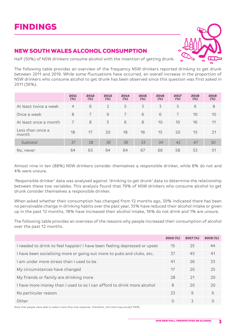## NEW SOUTH WALES ALCOHOL CONSUMPTION

Half (50%) of NSW drinkers consume alcohol with the intention of getting drunk.

The following table provides an overview of the frequency NSW drinkers reported drinking to get drunk between 2011 and 2019. While some fluctuations have occurred, an overall increase in the proportion of NSW drinkers who consume alcohol to get drunk has been observed since this question was first asked in 2011 (36%).

|                           | 2011<br>$(\%)$ | 2012<br>$(\%)$ | 2013<br>$(\%)$ | 2014<br>$(\%)$ | 2015<br>$(\% )$ | 2016<br>$(\%)$ | 2017<br>$(\%)$ | 2018<br>$(\%)$ | 2019<br>$(\% )$ |
|---------------------------|----------------|----------------|----------------|----------------|-----------------|----------------|----------------|----------------|-----------------|
| At least twice a week     | $\overline{4}$ | 6              | $\mathcal{L}$  | 5              | 3               | 3              | 5              | 6              | 8               |
| Once a week               | 8              | $\overline{7}$ | $\mathcal{Q}$  | $\overline{7}$ | 6               | 6              | $\overline{7}$ | 10             | 10              |
| At least once a month     | $\overline{7}$ | 8              | 5              | 6              | 8               | 10             | 10             | 16             | 11              |
| Less than once a<br>month | 18             | 17             | 20             | 18             | 16              | 15             | 20             | 15             | 21              |
| Subtotal                  | 37             | 38             | 36             | 36             | 33              | 34             | 42             | 47             | 50              |
| No, never                 | 64             | 63             | 64             | 64             | 67              | 66             | 58             | 53             | 51              |

Almost nine in ten (88%) NSW drinkers consider themselves a responsible drinker, while 8% do not and 4% were unsure.

'Responsible drinker' data was analysed against 'drinking to get drunk' data to determine the relationship between these two variables. This analysis found that 79% of NSW drinkers who consume alcohol to get drunk consider themselves a responsible drinker.

When asked whether their consumption has changed from 12 months ago, 30% indicated there has been no perceivable change in drinking habits over the past year, 35% have reduced their alcohol intake or given up in the past 12 months, 18% have increased their alcohol intake, 16% do not drink and 1% are unsure.

The following table provides an overview of the reasons why people increased their consumption of alcohol over the past 12 months.

|                                                                           | 2010 (%) | 2017 <sub>(%</sub> ) | 2019 (%) |
|---------------------------------------------------------------------------|----------|----------------------|----------|
| I needed to drink to feel happier/ I have been feeling depressed or upset | 15       | 25                   | 44       |
| I have been socialising more or going out more to pubs and clubs, etc.    | 37       | 45                   | 41       |
| Lam under more stress than Lused to be                                    | 41       | 26                   | 33       |
| My circumstances have changed                                             | 17       | 20                   | 25       |
| My friends or family are drinking more                                    | 28       | 21                   | 20       |
| I have more money than I used to so I can afford to drink more alcohol    | 8        | 20                   | 20       |
| No particular reason                                                      | 23       | $\mathcal{Q}$        | 6        |
| Other                                                                     | $\cap$   | $\mathcal{D}$        |          |

Note that people were able to select more than one response. Therefore, the total may exceed 100%.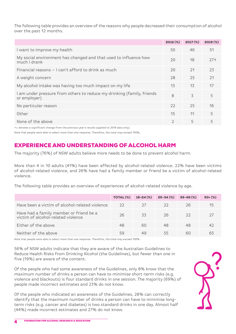The following table provides an overview of the reasons why people decreased their consumption of alcohol over the past 12 months.

|                                                                                        | $2012 (\%)$   | 2017 <sub>(%</sub> ) | 2019 (%)        |
|----------------------------------------------------------------------------------------|---------------|----------------------|-----------------|
| I want to improve my health                                                            | 50            | 46                   | 51              |
| My social environment has changed and that used to influence how<br>much I drank       | 20            | 18                   | 27 <sub>1</sub> |
| Financial reasons - I can't afford to drink as much                                    | 20            | 21                   | 23              |
| A weight concern                                                                       | 28            | 25                   | 21              |
| My alcohol intake was having too much impact on my life                                | 13            | 13                   | 17              |
| I am under pressure from others to reduce my drinking (family, friends<br>or employer) | 8             | 3                    | 5               |
| No particular reason                                                                   | 22            | 25                   | 16              |
| Other                                                                                  | 15            | 11                   | 5               |
| None of the above                                                                      | $\mathcal{D}$ | 5                    | 5               |

↑↓ denotes a significant change from the previous year's results (applied to 2019 data only).

Note that people were able to select more than one response. Therefore, the total may exceed 100%.

## EXPERIENCE AND UNDERSTANDING OF ALCOHOL HARM

The majority (76%) of NSW adults believe more needs to be done to prevent alcohol harm.

More than 4 in 10 adults (41%) have been affected by alcohol-related violence. 22% have been victims of alcohol-related violence, and 26% have had a family member or friend be a victim of alcohol-related violence.

The following table provides an overview of experiences of alcohol-related violence by age.

|                                                                               | TOTAL (%) | $18 - 24$ (%) | $25 - 34$ (%) | $35 - 49(%)$ | $50+(%)$ |
|-------------------------------------------------------------------------------|-----------|---------------|---------------|--------------|----------|
| Have been a victim of alcohol-related violence                                | $22$      | 27            | $22$          | 26           | 15       |
| Have had a family member or friend be a<br>victim of alcohol-related violence | 26        | 33            | 26            | $22$         |          |
| Either of the above                                                           | 48        | 60            | 48            | 48           | 47       |
| Neither of the above                                                          | 59        | 49            | 55            | 60           | 65       |

Note that people were able to select more than one response. Therefore, the total may exceed 100%.

56% of NSW adults indicate that they are aware of the Australian Guidelines to Reduce Health Risks from Drinking Alcohol (the Guidelines), but fewer than one in five (19%) are aware of the content.

Of the people who had some awareness of the Guidelines, only 8% know that the maximum number of drinks a person can have to minimise short-term risks (e.g. violence and blackouts) is four standard drinks in one session. The majority (69%) of people made incorrect estimates and 23% do not know.

Of the people who indicated an awareness of the Guidelines, 28% can correctly identify that the maximum number of drinks a person can have to minimise longterm risks (e.g. cancer and diabetes) is two standard drinks in one day. Almost half (44%) made incorrect estimates and 27% do not know.

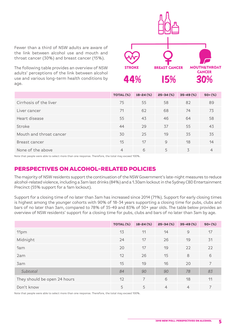Fewer than a third of NSW adults are aware of the link between alcohol use and mouth and throat cancer (30%) and breast cancer (15%).

The following table provides an overview of NSW adults' perceptions of the link between alcohol use and various long-term health conditions by age.



|                         | TOTAL (%)      | $18 - 24$ (%) | $25 - 34$ (%) | $35 - 49$ (%) | $50+(%)$ |
|-------------------------|----------------|---------------|---------------|---------------|----------|
| Cirrhosis of the liver  | 75             | 55            | 58            | 82            | 89       |
| Liver cancer            | 71             | 62            | 68            | 74            | 73       |
| Heart disease           | 55             | 43            | 46            | 64            | 58       |
| Stroke                  | 44             | 29            | 37            | 55            | 43       |
| Mouth and throat cancer | 30             | 25            | 19            | 35            | 35       |
| Breast cancer           | 15             | 17            | $\mathcal{Q}$ | 18            | 14       |
| None of the above       | $\overline{4}$ | 6             | 5             | 3             | 4        |

Note that people were able to select more than one response. Therefore, the total may exceed 100%.

### PERSPECTIVES ON ALCOHOL-RELATED POLICIES

The majority of NSW residents support the continuation of the NSW Government's late-night measures to reduce alcohol-related violence, including a 3am last drinks (84%) and a 1.30am lockout in the Sydney CBD Entertainment Precinct (55% support for a 1am lockout).

Support for a closing time of no later than 3am has increased since 2014 (71%). Support for early closing times is highest among the younger cohorts with 90% of 18-34 years supporting a closing time for pubs, clubs and bars of no later than 3am, compared to 78% of 35-49 and 83% of 50+ year olds. The table below provides an overview of NSW residents' support for a closing time for pubs, clubs and bars of no later than 3am by age.

|                              | TOTAL (%) | $18 - 24$ (%) | $25 - 34$ (%)  | $35 - 49$ (%)  | $50+(%)$ |
|------------------------------|-----------|---------------|----------------|----------------|----------|
| 11pm                         | 13        | 11            | 14             | $\mathcal{Q}$  | 17       |
| Midnight                     | 24        | 17            | 26             | 19             | 31       |
| 1am                          | 20        | 17            | 19             | 22             | 22       |
| 2am                          | 12        | 26            | 15             | 8              | 6        |
| 3am                          | 15        | 19            | 16             | 20             | 7        |
| Subtotal                     | 84        | 90            | 90             | 78             | 83       |
| They should be open 24 hours | 12        | 7             | 6              | 18             | 11       |
| Don't know                   | 5         | 5             | $\overline{4}$ | $\overline{4}$ |          |

Note that people were able to select more than one response. Therefore, the total may exceed 100%.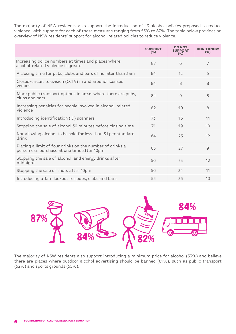The majority of NSW residents also support the introduction of 13 alcohol policies proposed to reduce violence, with support for each of these measures ranging from 55% to 87%. The table below provides an overview of NSW residents' support for alcohol-related policies to reduce violence.

|                                                                                                        | <b>SUPPORT</b><br>$(\%)$ | <b>DO NOT</b><br>SUPPORT<br>$(\%)$ | <b>DON'T KNOW</b><br>$(\%)$ |
|--------------------------------------------------------------------------------------------------------|--------------------------|------------------------------------|-----------------------------|
| Increasing police numbers at times and places where<br>alcohol-related violence is greater             | 87                       | 6                                  | 7                           |
| A closing time for pubs, clubs and bars of no later than 3am                                           | 84                       | 12                                 | 5                           |
| Closed-circuit television (CCTV) in and around licensed<br>venues                                      | 84                       | 8                                  | 8                           |
| More public transport options in areas where there are pubs,<br>clubs and bars                         | 84                       | $\mathcal{G}$                      | 8                           |
| Increasing penalties for people involved in alcohol-related<br>violence                                | 82                       | 10                                 | 8                           |
| Introducing identification (ID) scanners                                                               | 73                       | 16                                 | 11                          |
| Stopping the sale of alcohol 30 minutes before closing time                                            | 71                       | 19                                 | 10                          |
| Not allowing alcohol to be sold for less than \$1 per standard<br>drink                                | 64                       | 25                                 | 12                          |
| Placing a limit of four drinks on the number of drinks a<br>person can purchase at one time after 10pm | 63                       | 27                                 | $\mathcal{Q}$               |
| Stopping the sale of alcohol and energy drinks after<br>midnight                                       | 56                       | 33                                 | 12                          |
| Stopping the sale of shots after 10pm                                                                  | 56                       | 34                                 | 11                          |
| Introducing a 1am lockout for pubs, clubs and bars                                                     | 55                       | 35                                 | 10                          |



The majority of NSW residents also support introducing a minimum price for alcohol (53%) and believe there are places where outdoor alcohol advertising should be banned (81%), such as public transport (52%) and sports grounds (55%).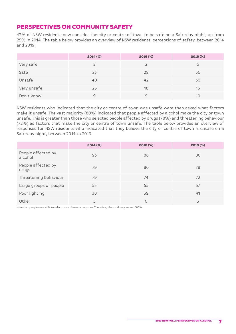## PERSPECTIVES ON COMMUNITY SAFETY

42% of NSW residents now consider the city or centre of town to be safe on a Saturday night, up from 25% in 2014. The table below provides an overview of NSW residents' perceptions of safety, between 2014 and 2019.

|             | 2014 (%) | 2016 (%) | 2019 (%) |
|-------------|----------|----------|----------|
| Very safe   |          |          | 6        |
| Safe        | 23       | 29       | 36       |
| Unsafe      | 40       | 42       | 36       |
| Very unsafe | 25       | 18       | 13       |
| Don't know  | 9        | 9        | 10       |

NSW residents who indicated that the city or centre of town was unsafe were then asked what factors make it unsafe. The vast majority (80%) indicated that people affected by alcohol make the city or town unsafe. This is greater than those who selected people affected by drugs (78%) and threatening behaviour (72%) as factors that make the city or centre of town unsafe. The table below provides an overview of responses for NSW residents who indicated that they believe the city or centre of town is unsafe on a Saturday night, between 2014 to 2019.

|                               | 2014 (%) | 2016 (%) | 2019 (%) |
|-------------------------------|----------|----------|----------|
| People affected by<br>alcohol | 93       | 88       | 80       |
| People affected by<br>drugs   | 79       | 80       | 78       |
| Threatening behaviour         | 79       | 74       | 72       |
| Large groups of people        | 53       | 55       | 57       |
| Poor lighting                 | 38       | 39       | 41       |
| Other                         | 5        | 6        |          |

Note that people were able to select more than one response. Therefore, the total may exceed 100%.